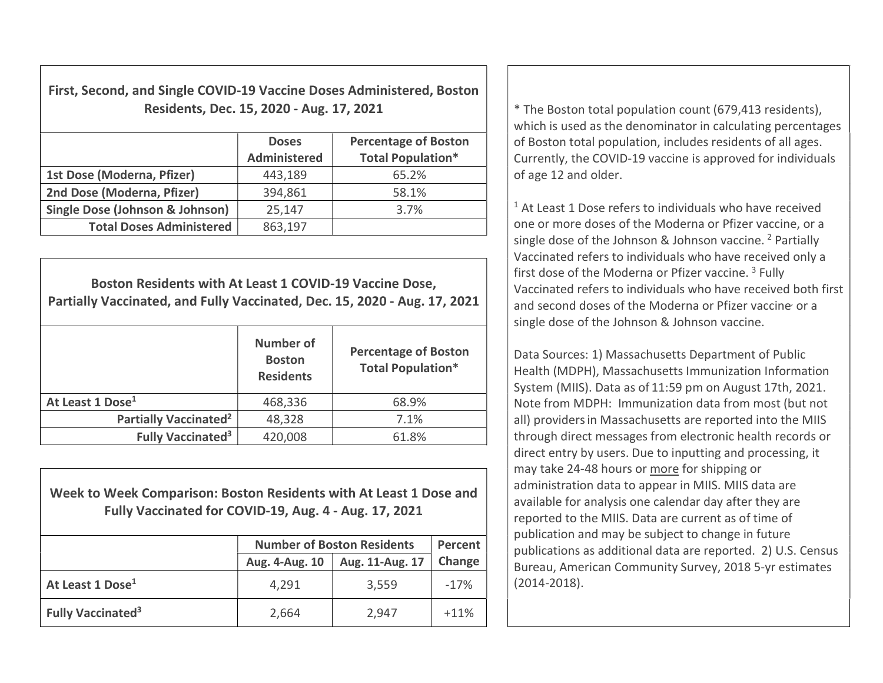First, Second, and Single COVID-19 Vaccine Doses Administered, Boston Residents, Dec. 15, 2020 - Aug. 17, 2021  $\vert$  \* The Boston total population count (679,413 residents),

|                                 | <b>Doses</b><br><b>Administered</b> | <b>Percentage of Boston</b><br><b>Total Population*</b> |
|---------------------------------|-------------------------------------|---------------------------------------------------------|
| 1st Dose (Moderna, Pfizer)      | 443,189                             | 65.2%                                                   |
| 2nd Dose (Moderna, Pfizer)      | 394,861                             | 58.1%                                                   |
| Single Dose (Johnson & Johnson) | 25,147                              | 3.7%                                                    |
| <b>Total Doses Administered</b> | 863,197                             |                                                         |

Boston Residents with At Least 1 COVID-19 Vaccine Dose, Partially Vaccinated, and Fully Vaccinated, Dec. 15, 2020 - Aug. 17, 2021 Number of Boston **Residents** Percentage of Boston Total Population\* At Least 1 Dose<sup>1</sup> 168,336 for  $\frac{1}{2}$  168.9% Partially Vaccinated<sup>2</sup>  $48,328$  7.1% Fully Vaccinated<sup>3</sup>  $420,008$  61.8%

Week to Week Comparison: Boston Residents with At Least 1 Dose and Fully Vaccinated for COVID-19, Aug. 4 - Aug. 17, 2021

|                                     | <b>Number of Boston Residents</b> | Percent         |        |
|-------------------------------------|-----------------------------------|-----------------|--------|
|                                     | Aug. 4-Aug. 10                    | Aug. 11-Aug. 17 | Change |
| At Least 1 Dose <sup>1</sup>        | 4,291                             | 3,559           | $-17%$ |
| <b>Fully Vaccinated<sup>3</sup></b> | 2,664                             | 2,947           | $+11%$ |

which is used as the denominator in calculating percentages of Boston total population, includes residents of all ages. Currently, the COVID-19 vaccine is approved for individuals of age 12 and older.

<sup>1</sup> At Least 1 Dose refers to individuals who have received one or more doses of the Moderna or Pfizer vaccine, or a single dose of the Johnson & Johnson vaccine. <sup>2</sup> Partially Vaccinated refers to individuals who have received only a first dose of the Moderna or Pfizer vaccine.<sup>3</sup> Fully Vaccinated refers to individuals who have received both first and second doses of the Moderna or Pfizer vaccine or a single dose of the Johnson & Johnson vaccine.

Data Sources: 1) Massachusetts Department of Public Health (MDPH), Massachusetts Immunization Information System (MIIS). Data as of 11:59 pm on August 17th, 2021. Note from MDPH: Immunization data from most (but not all) providersin Massachusetts are reported into the MIIS through direct messages from electronic health records or direct entry by users. Due to inputting and processing, it may take 24-48 hours or more for shipping or administration data to appear in MIIS. MIIS data are available for analysis one calendar day after they are reported to the MIIS. Data are current as of time of publication and may be subject to change in future publications as additional data are reported. 2) U.S. Census Bureau, American Community Survey, 2018 5-yr estimates (2014-2018).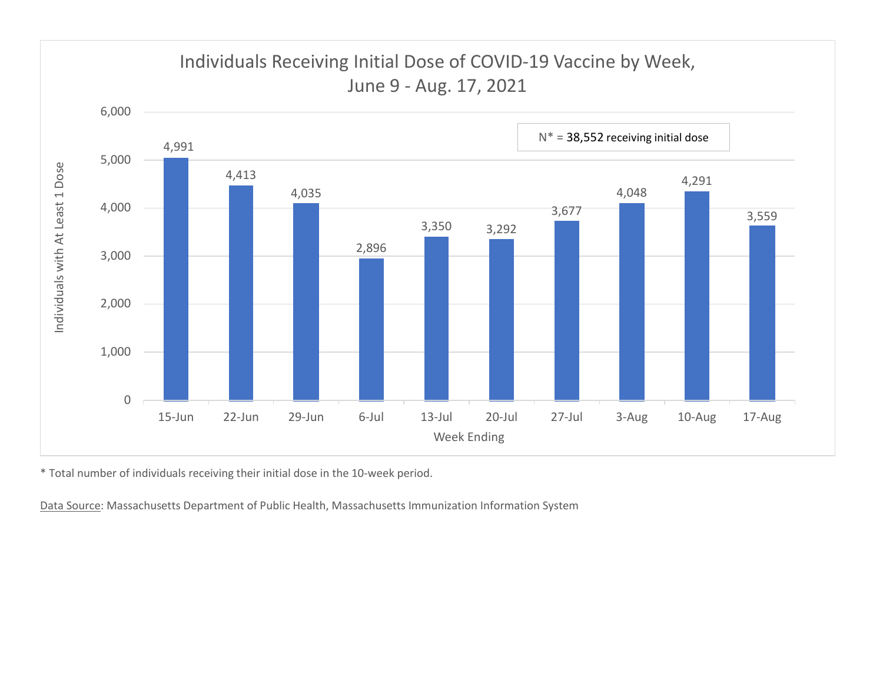

\* Total number of individuals receiving their initial dose in the 10-week period.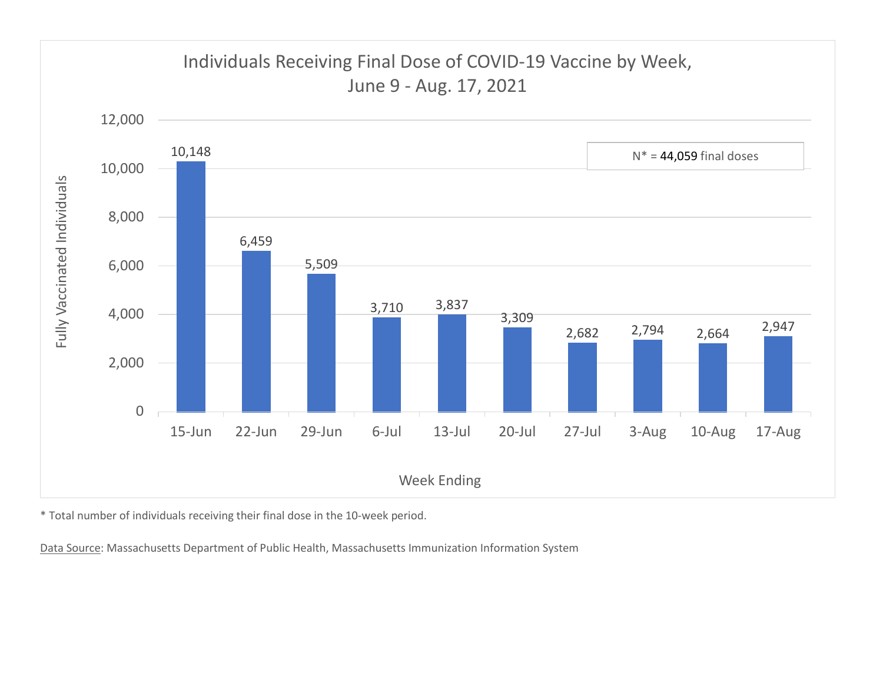

\* Total number of individuals receiving their final dose in the 10-week period.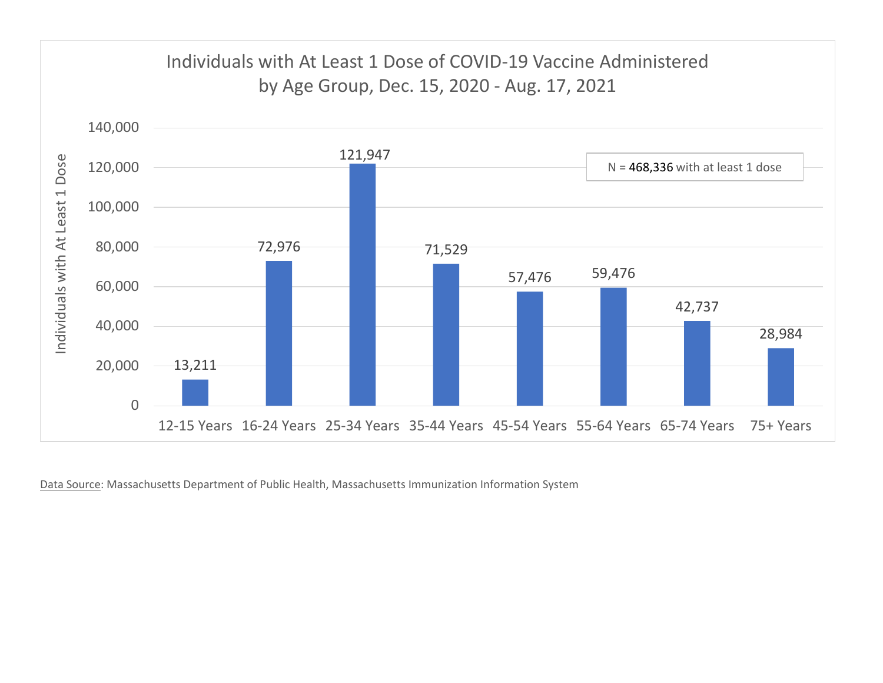

Data Source: Massachusetts Department of Public Health, Massachusetts Immunization Information System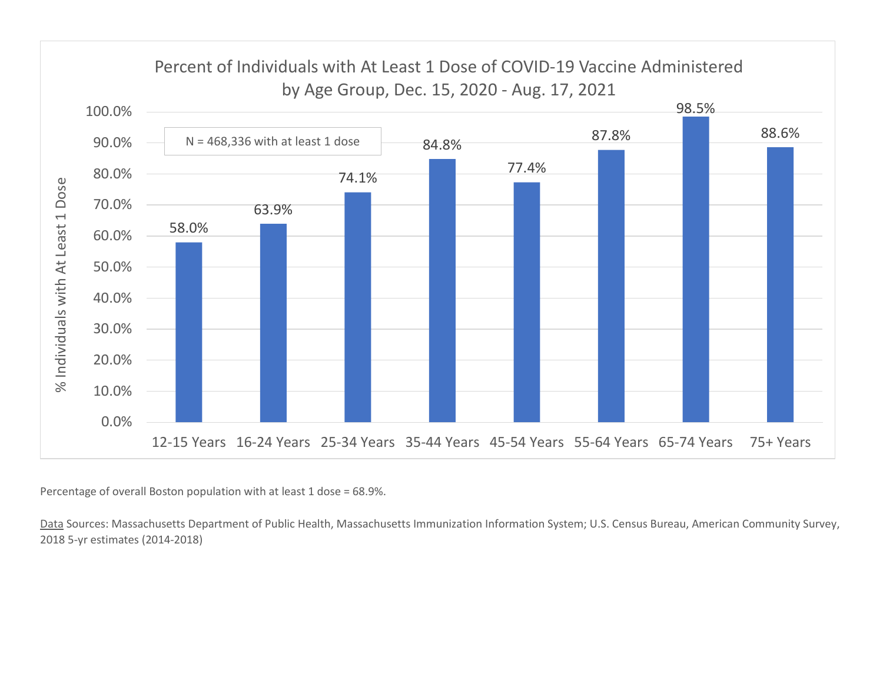

Percentage of overall Boston population with at least 1 dose = 68.9%.

Data Sources: Massachusetts Department of Public Health, Massachusetts Immunization Information System; U.S. Census Bureau, American Community Survey, 2018 5-yr estimates (2014-2018)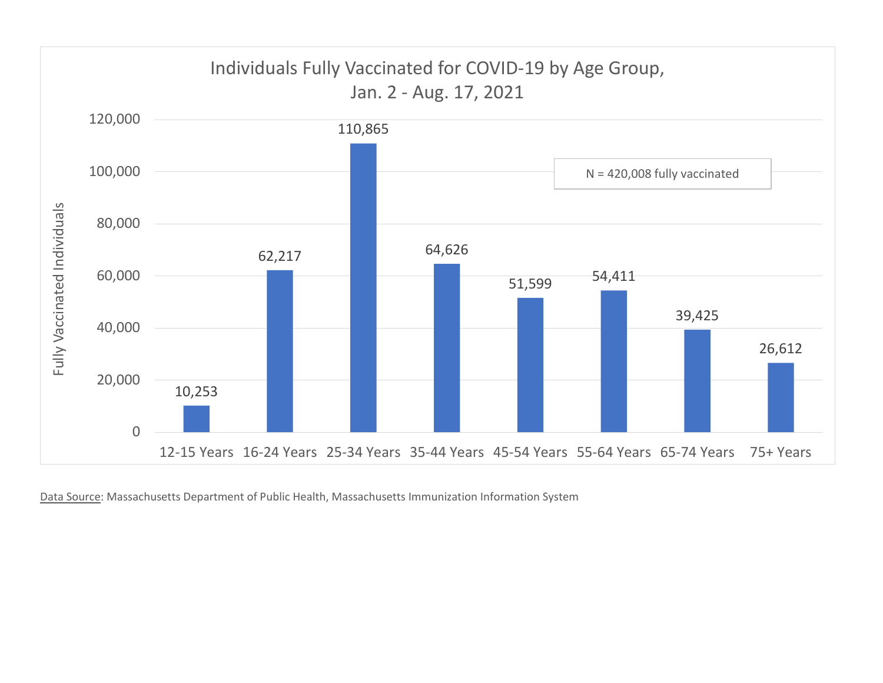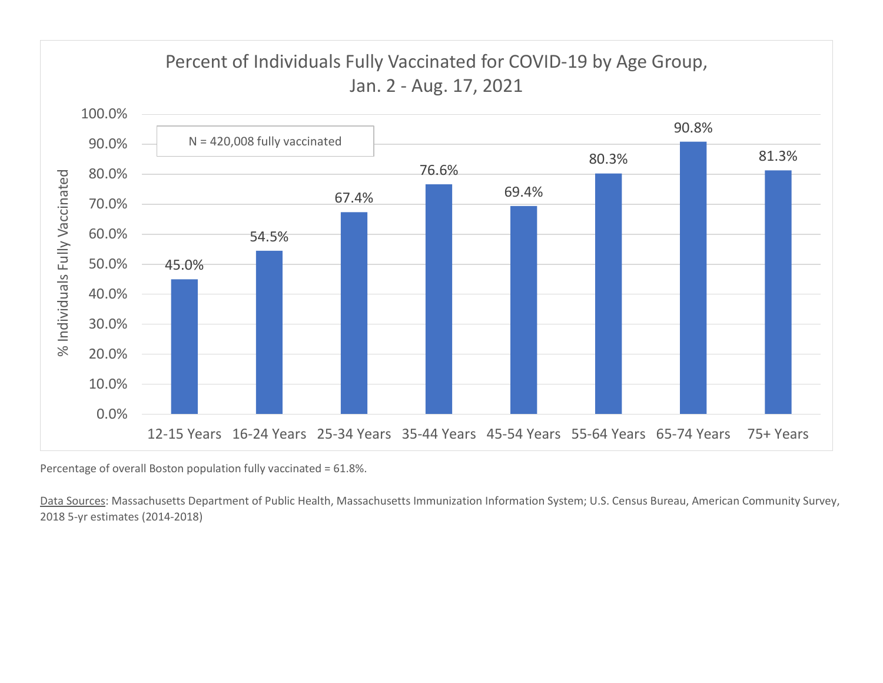

Percentage of overall Boston population fully vaccinated = 61.8%.

Data Sources: Massachusetts Department of Public Health, Massachusetts Immunization Information System; U.S. Census Bureau, American Community Survey, 2018 5-yr estimates (2014-2018)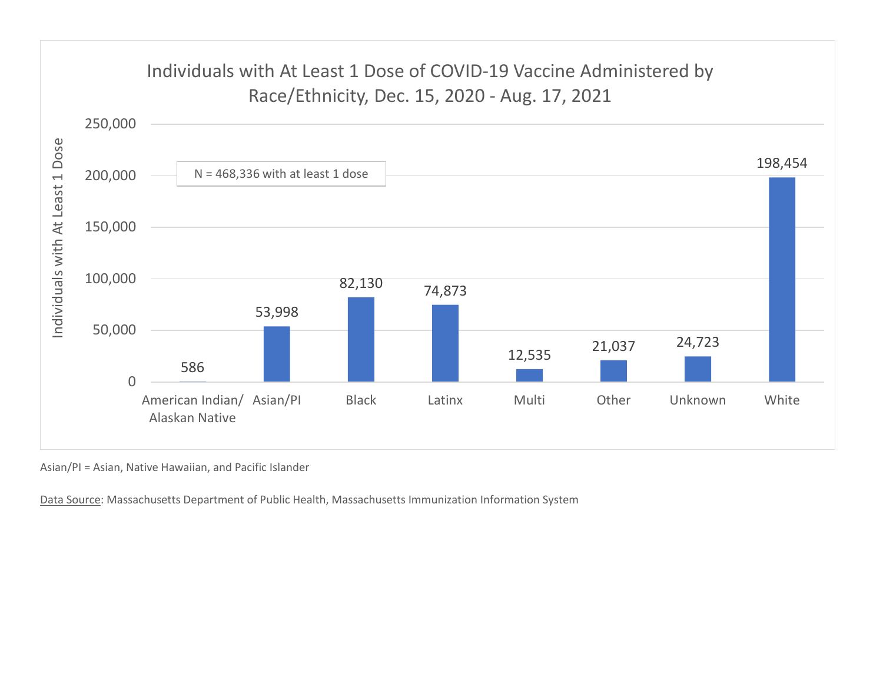

Asian/PI = Asian, Native Hawaiian, and Pacific Islander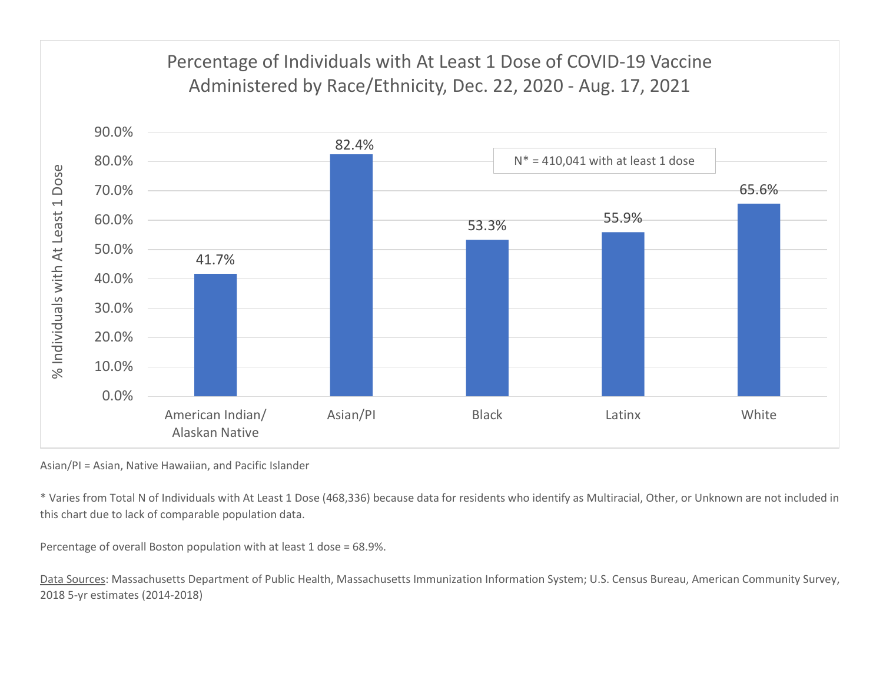

Asian/PI = Asian, Native Hawaiian, and Pacific Islander

\* Varies from Total N of Individuals with At Least 1 Dose (468,336) because data for residents who identify as Multiracial, Other, or Unknown are not included in this chart due to lack of comparable population data.

Percentage of overall Boston population with at least 1 dose = 68.9%.

Data Sources: Massachusetts Department of Public Health, Massachusetts Immunization Information System; U.S. Census Bureau, American Community Survey, 2018 5-yr estimates (2014-2018)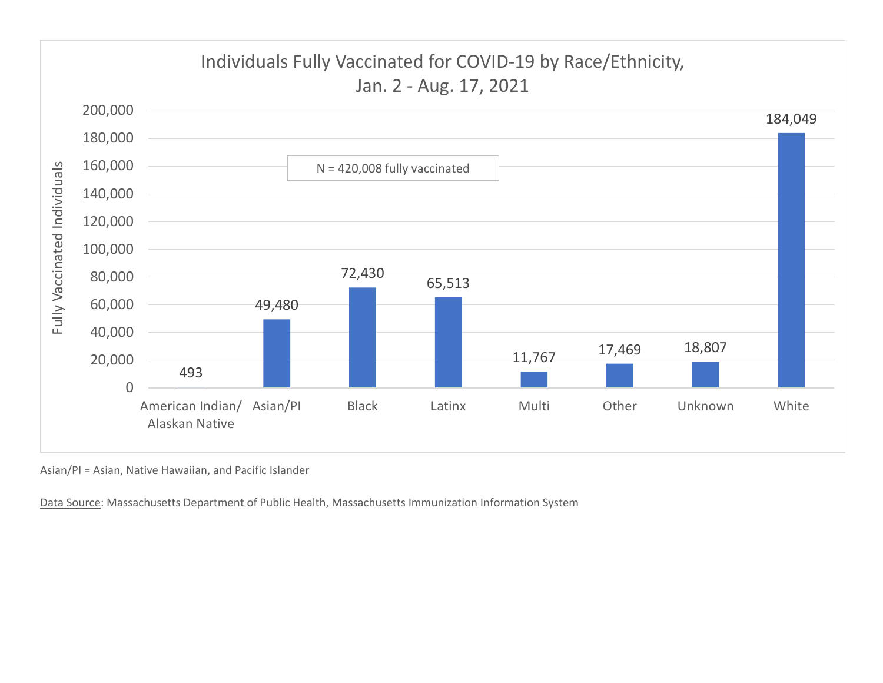

Asian/PI = Asian, Native Hawaiian, and Pacific Islander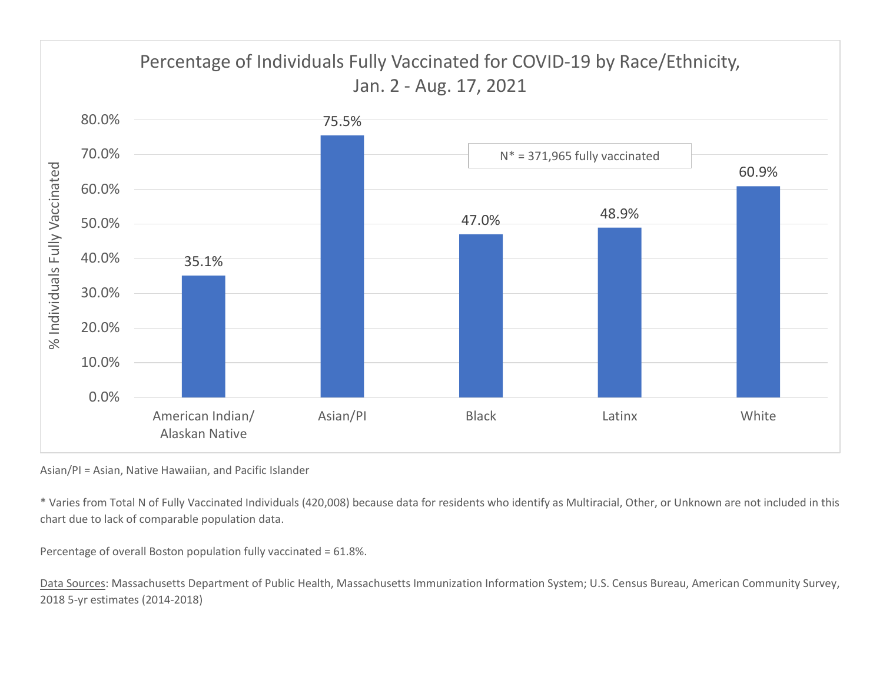

Asian/PI = Asian, Native Hawaiian, and Pacific Islander

\* Varies from Total N of Fully Vaccinated Individuals (420,008) because data for residents who identify as Multiracial, Other, or Unknown are not included in this chart due to lack of comparable population data.

Percentage of overall Boston population fully vaccinated = 61.8%.

Data Sources: Massachusetts Department of Public Health, Massachusetts Immunization Information System; U.S. Census Bureau, American Community Survey, 2018 5-yr estimates (2014-2018)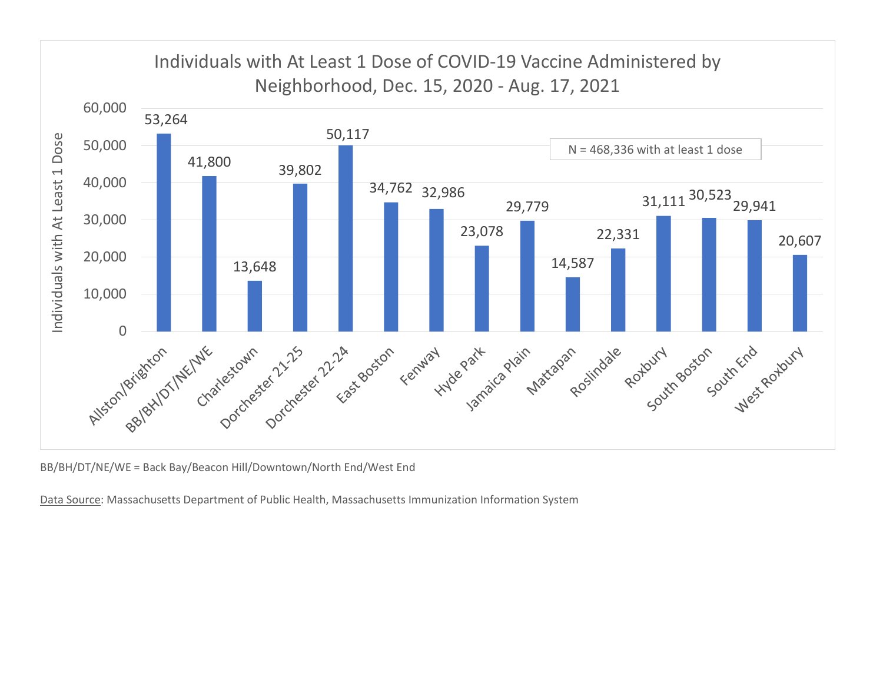

BB/BH/DT/NE/WE = Back Bay/Beacon Hill/Downtown/North End/West End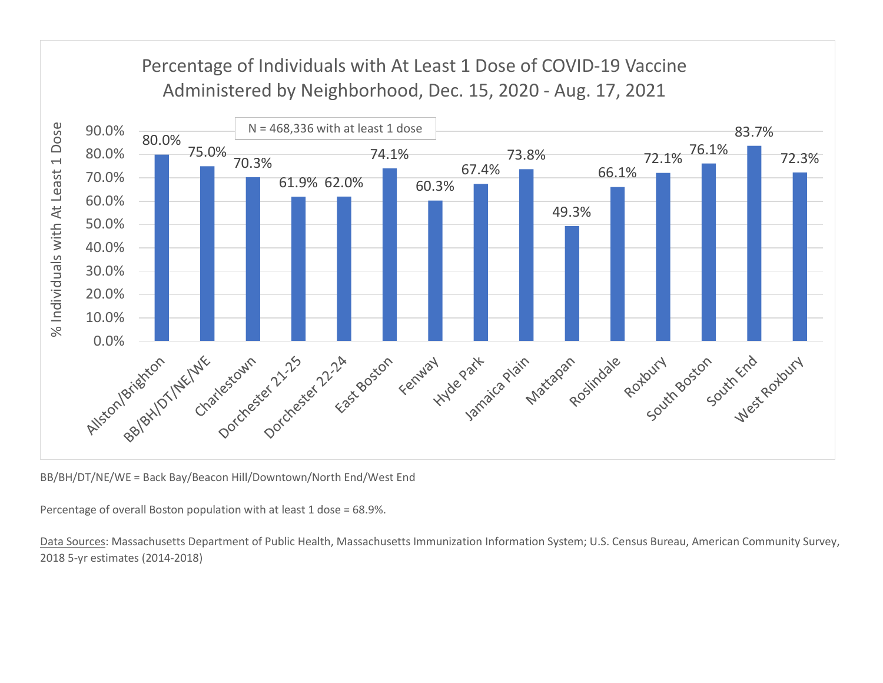

BB/BH/DT/NE/WE = Back Bay/Beacon Hill/Downtown/North End/West End

Percentage of overall Boston population with at least 1 dose = 68.9%.

Data Sources: Massachusetts Department of Public Health, Massachusetts Immunization Information System; U.S. Census Bureau, American Community Survey, 2018 5-yr estimates (2014-2018)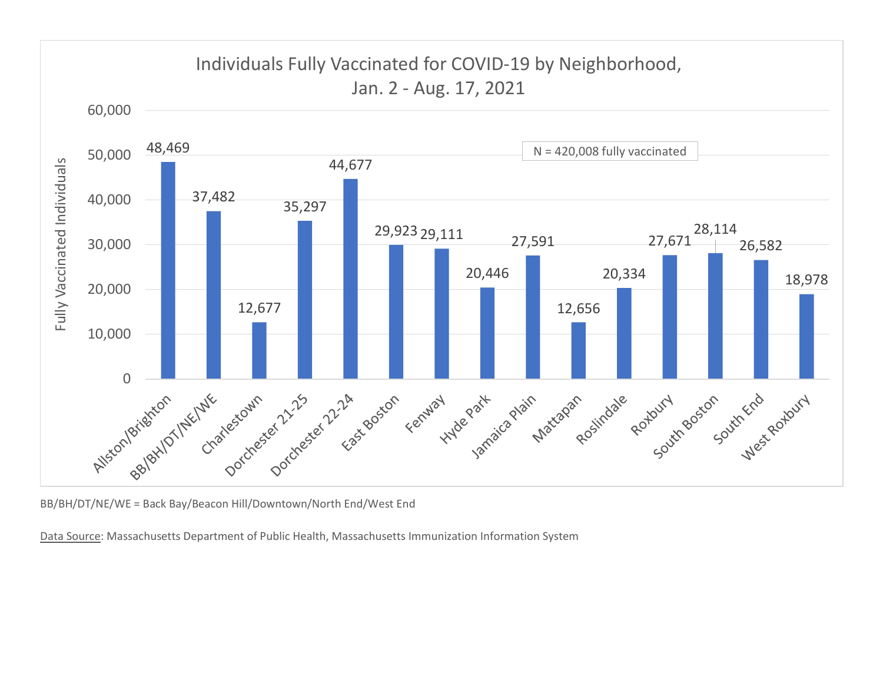

BB/BH/DT/NE/WE = Back Bay/Beacon Hill/Downtown/North End/West End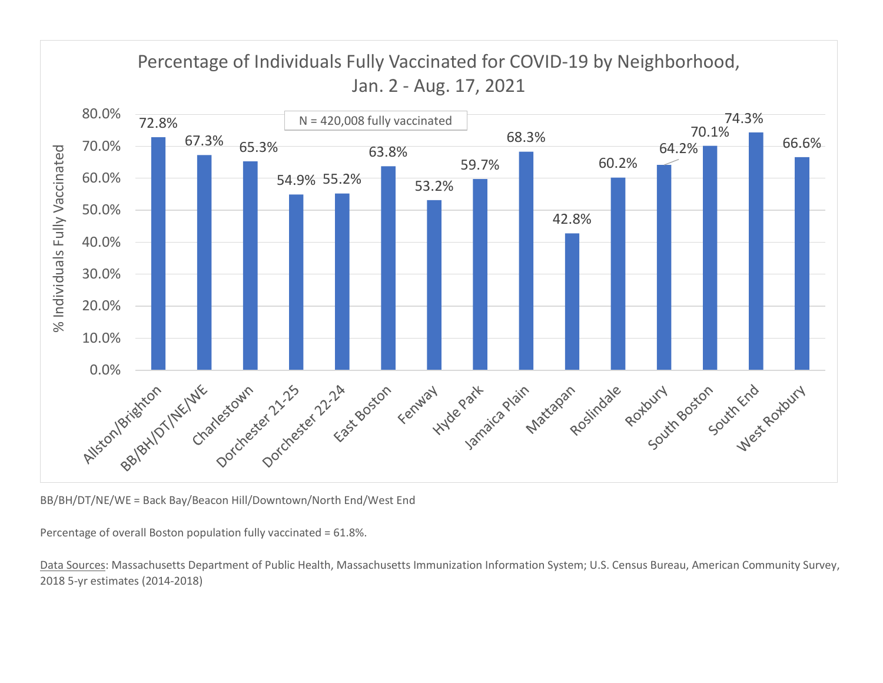

BB/BH/DT/NE/WE = Back Bay/Beacon Hill/Downtown/North End/West End

Percentage of overall Boston population fully vaccinated = 61.8%.

Data Sources: Massachusetts Department of Public Health, Massachusetts Immunization Information System; U.S. Census Bureau, American Community Survey, 2018 5-yr estimates (2014-2018)